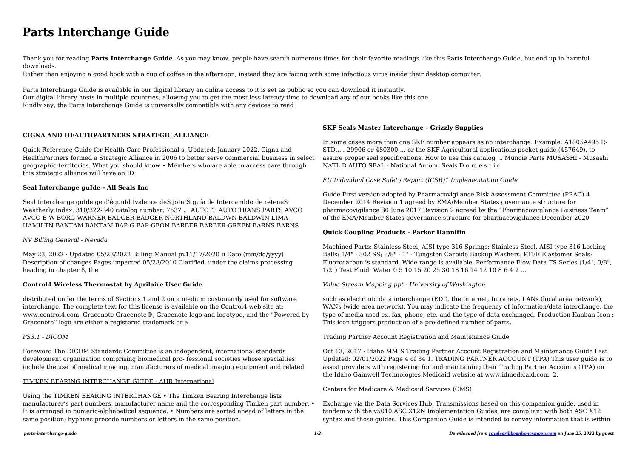# **Parts Interchange Guide**

Thank you for reading **Parts Interchange Guide**. As you may know, people have search numerous times for their favorite readings like this Parts Interchange Guide, but end up in harmful downloads.

Rather than enjoying a good book with a cup of coffee in the afternoon, instead they are facing with some infectious virus inside their desktop computer.

Parts Interchange Guide is available in our digital library an online access to it is set as public so you can download it instantly. Our digital library hosts in multiple countries, allowing you to get the most less latency time to download any of our books like this one. Kindly say, the Parts Interchange Guide is universally compatible with any devices to read

### **CIGNA AND HEALTHPARTNERS STRATEGIC ALLIANCE**

May 23, 2022 · Updated 05/23/2022 Billing Manual  $pv11/17/2020$  ii Date (mm/dd/yyyy) Description of changes Pages impacted 05/28/2010 Clarified, under the claims processing heading in chapter 8, the

Quick Reference Guide for Health Care Professional s. Updated: January 2022. Cigna and HealthPartners formed a Strategic Alliance in 2006 to better serve commercial business in select geographic territories. What you should know • Members who are able to access care through this strategic alliance will have an ID

### **Seal Interchange guIde - All Seals Inc**

Seal Interchange guIde ge d'équuId Ivalence deS joIntS guía de IntercambIo de reteneS Weatherly Index: 310/322-340 catalog number: 7537 ... AUTOTP AUTO TRANS PARTS AVCO AVCO B-W BORG-WARNER BADGER BADGER NORTHLAND BALDWN BALDWIN-LIMA-HAMILTN BANTAM BANTAM BAP-G BAP-GEON BARBER BARBER-GREEN BARNS BARNS

### *NV Billing General - Nevada*

### **Control4 Wireless Thermostat by Aprilaire User Guide**

distributed under the terms of Sections 1 and 2 on a medium customarily used for software interchange. The complete text for this license is available on the Control4 web site at: www.control4.com. Gracenote Gracenote®, Gracenote logo and logotype, and the "Powered by Gracenote" logo are either a registered trademark or a

*PS3.1 - DICOM*

Foreword The DICOM Standards Committee is an independent, international standards development organization comprising biomedical pro- fessional societies whose specialties include the use of medical imaging, manufacturers of medical imaging equipment and related

### TIMKEN BEARING INTERCHANGE GUIDE - AHR International

Using the TIMKEN BEARING INTERCHANGE • The Timken Bearing Interchange lists manufacturer's part numbers, manufacturer name and the corresponding Timken part number. • It is arranged in numeric-alphabetical sequence. • Numbers are sorted ahead of letters in the same position; hyphens precede numbers or letters in the same position.

## **SKF Seals Master Interchange - Grizzly Supplies**

In some cases more than one SKF number appears as an interchange. Example: A1805A495 R-STD..... 29906 or 480300 ... or the SKF Agricultural applications pocket guide (457649), to assure proper seal specifications. How to use this catalog ... Muncie Parts MUSASHI - Musashi NATL D AUTO SEAL - National Autom. Seals D o m e s t i c

*EU Individual Case Safety Report (ICSR)1 Implementation Guide*

Guide First version adopted by Pharmacovigilance Risk Assessment Committee (PRAC) 4 December 2014 Revision 1 agreed by EMA/Member States governance structure for pharmacovigilance 30 June 2017 Revision 2 agreed by the "Pharmacovigilance Business Team" of the EMA/Member States governance structure for pharmacovigilance December 2020

### **Quick Coupling Products - Parker Hannifin**

Machined Parts: Stainless Steel, AISI type 316 Springs: Stainless Steel, AISI type 316 Locking Balls: 1/4" - 302 SS; 3/8" - 1" - Tungsten Carbide Backup Washers: PTFE Elastomer Seals: Fluorocarbon is standard. Wide range is available. Performance Flow Data FS Series (1/4", 3/8", 1/2") Test Fluid: Water 0 5 10 15 20 25 30 18 16 14 12 10 8 6 4 2 ...

### *Value Stream Mapping.ppt - University of Washington*

such as electronic data interchange (EDI), the Internet, Intranets, LANs (local area network), WANs (wide area network). You may indicate the frequency of information/data interchange, the type of media used ex. fax, phone, etc. and the type of data exchanged. Production Kanban Icon : This icon triggers production of a pre-defined number of parts.

### Trading Partner Account Registration and Maintenance Guide

Oct 13, 2017 · Idaho MMIS Trading Partner Account Registration and Maintenance Guide Last Updated: 02/01/2022 Page 4 of 34 1. TRADING PARTNER ACCOUNT (TPA) This user guide is to assist providers with registering for and maintaining their Trading Partner Accounts (TPA) on the Idaho Gainwell Technologies Medicaid website at www.idmedicaid.com. 2.

### Centers for Medicare & Medicaid Services (CMS)

Exchange via the Data Services Hub. Transmissions based on this companion guide, used in tandem with the v5010 ASC X12N Implementation Guides, are compliant with both ASC X12 syntax and those guides. This Companion Guide is intended to convey information that is within